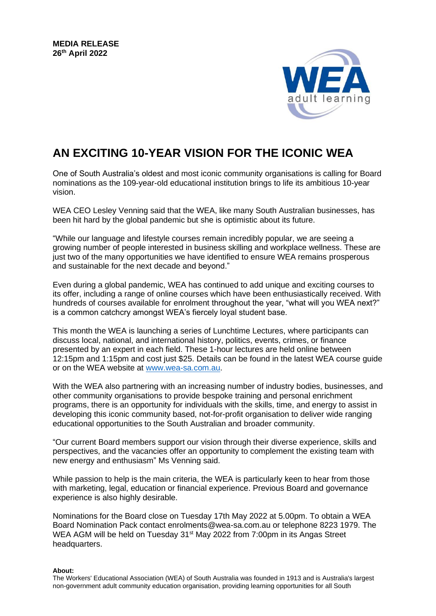

## **AN EXCITING 10-YEAR VISION FOR THE ICONIC WEA**

One of South Australia's oldest and most iconic community organisations is calling for Board nominations as the 109-year-old educational institution brings to life its ambitious 10-year vision.

WEA CEO Lesley Venning said that the WEA, like many South Australian businesses, has been hit hard by the global pandemic but she is optimistic about its future.

"While our language and lifestyle courses remain incredibly popular, we are seeing a growing number of people interested in business skilling and workplace wellness. These are just two of the many opportunities we have identified to ensure WEA remains prosperous and sustainable for the next decade and beyond."

Even during a global pandemic, WEA has continued to add unique and exciting courses to its offer, including a range of online courses which have been enthusiastically received. With hundreds of courses available for enrolment throughout the year, "what will you WEA next?" is a common catchcry amongst WEA's fiercely loyal student base.

This month the WEA is launching a series of Lunchtime Lectures, where participants can discuss local, national, and international history, politics, events, crimes, or finance presented by an expert in each field. These 1-hour lectures are held online between 12:15pm and 1:15pm and cost just \$25. Details can be found in the latest WEA course guide or on the WEA website at [www.wea-sa.com.au.](http://www.wea-sa.com.au/)

With the WEA also partnering with an increasing number of industry bodies, businesses, and other community organisations to provide bespoke training and personal enrichment programs, there is an opportunity for individuals with the skills, time, and energy to assist in developing this iconic community based, not-for-profit organisation to deliver wide ranging educational opportunities to the South Australian and broader community.

"Our current Board members support our vision through their diverse experience, skills and perspectives, and the vacancies offer an opportunity to complement the existing team with new energy and enthusiasm" Ms Venning said.

While passion to help is the main criteria, the WEA is particularly keen to hear from those with marketing, legal, education or financial experience. Previous Board and governance experience is also highly desirable.

Nominations for the Board close on Tuesday 17th May 2022 at 5.00pm. To obtain a WEA Board Nomination Pack contact enrolments@wea-sa.com.au or telephone 8223 1979. The WEA AGM will be held on Tuesday 31<sup>st</sup> May 2022 from 7:00pm in its Angas Street headquarters.

**About:**